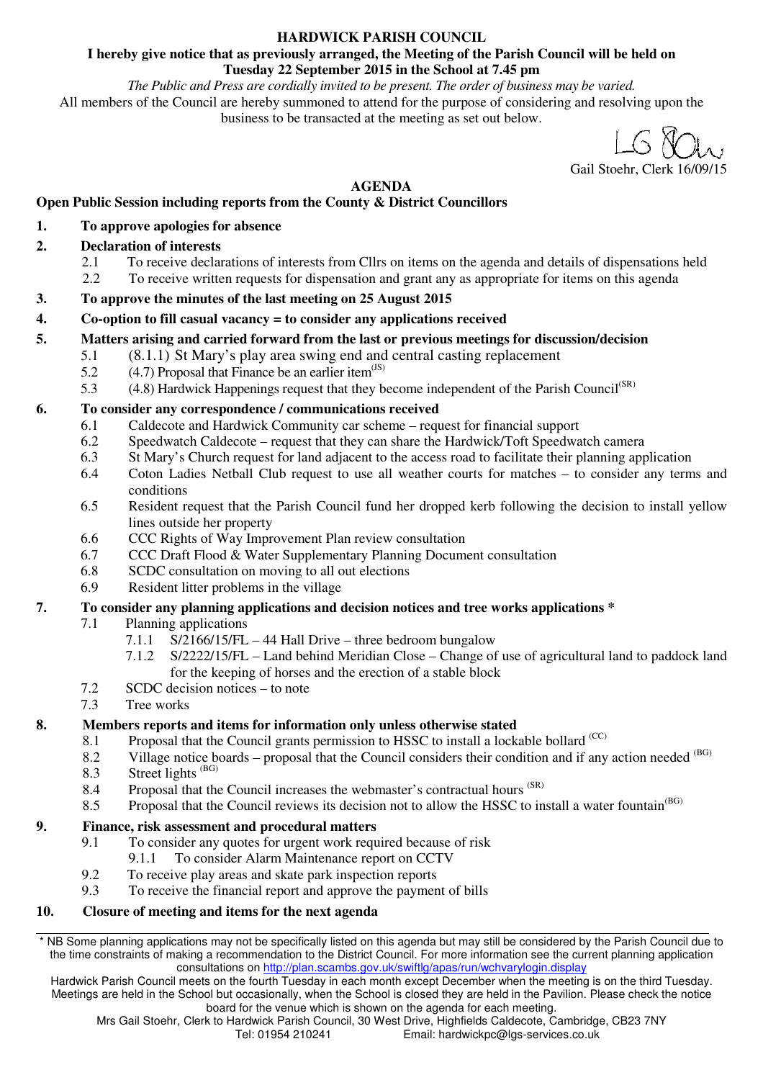#### **HARDWICK PARISH COUNCIL**

#### **I hereby give notice that as previously arranged, the Meeting of the Parish Council will be held on Tuesday 22 September 2015 in the School at 7.45 pm**

*The Public and Press are cordially invited to be present. The order of business may be varied.*  All members of the Council are hereby summoned to attend for the purpose of considering and resolving upon the business to be transacted at the meeting as set out below.

Gail Stoehr, Clerk 16/09/15

#### **AGENDA**

#### **Open Public Session including reports from the County & District Councillors**

#### **1. To approve apologies for absence**

#### **2. Declaration of interests**

- 2.1 To receive declarations of interests from Cllrs on items on the agenda and details of dispensations held
- 2.2 To receive written requests for dispensation and grant any as appropriate for items on this agenda
- **3. To approve the minutes of the last meeting on 25 August 2015**
- **4. Co-option to fill casual vacancy = to consider any applications received**
- **5. Matters arising and carried forward from the last or previous meetings for discussion/decision** 
	- 5.1 (8.1.1) St Mary's play area swing end and central casting replacement
	- 5.2 (4.7) Proposal that Finance be an earlier item<sup>(JS)</sup><br>5.3 (4.8) Hardwick Happenings request that they b
	- $(4.8)$  Hardwick Happenings request that they become independent of the Parish Council<sup>(SR)</sup>

#### **6. To consider any correspondence / communications received**

- 6.1 Caldecote and Hardwick Community car scheme request for financial support
- 6.2 Speedwatch Caldecote request that they can share the Hardwick/Toft Speedwatch camera
- 6.3 St Mary's Church request for land adjacent to the access road to facilitate their planning application
- 6.4 Coton Ladies Netball Club request to use all weather courts for matches to consider any terms and conditions
- 6.5 Resident request that the Parish Council fund her dropped kerb following the decision to install yellow lines outside her property
- 6.6 CCC Rights of Way Improvement Plan review consultation
- 6.7 CCC Draft Flood & Water Supplementary Planning Document consultation
- 6.8 SCDC consultation on moving to all out elections
- 6.9 Resident litter problems in the village

#### **7. To consider any planning applications and decision notices and tree works applications \***

- 7.1 Planning applications<br>7.1.1 S/2166/15/FL
	- $S/2166/15/FL 44$  Hall Drive three bedroom bungalow
	- 7.1.2 S/2222/15/FL Land behind Meridian Close Change of use of agricultural land to paddock land for the keeping of horses and the erection of a stable block
- 7.2 SCDC decision notices to note
- 7.3 Tree works

#### **8. Members reports and items for information only unless otherwise stated**

- 8.1 Proposal that the Council grants permission to HSSC to install a lockable bollard <sup>(CC)</sup>
- 8.2 Village notice boards proposal that the Council considers their condition and if any action needed <sup>(BG)</sup> 8.3 Street lights  $(BG)$
- 8.4 Proposal that the Council increases the webmaster's contractual hours (SR)
- 8.5 Proposal that the Council reviews its decision not to allow the HSSC to install a water fountain<sup>(BG)</sup>

#### **9. Finance, risk assessment and procedural matters**

- 9.1 To consider any quotes for urgent work required because of risk
	- 9.1.1 To consider Alarm Maintenance report on CCTV
- 9.2 To receive play areas and skate park inspection reports<br>9.3 To receive the financial report and approve the paymen
- 9.3 To receive the financial report and approve the payment of bills

#### **10. Closure of meeting and items for the next agenda**

\* NB Some planning applications may not be specifically listed on this agenda but may still be considered by the Parish Council due to the time constraints of making a recommendation to the District Council. For more information see the current planning application consultations on http://plan.scambs.gov.uk/swiftlg/apas/run/wchvarylogin.display

Hardwick Parish Council meets on the fourth Tuesday in each month except December when the meeting is on the third Tuesday. Meetings are held in the School but occasionally, when the School is closed they are held in the Pavilion. Please check the notice board for the venue which is shown on the agenda for each meeting.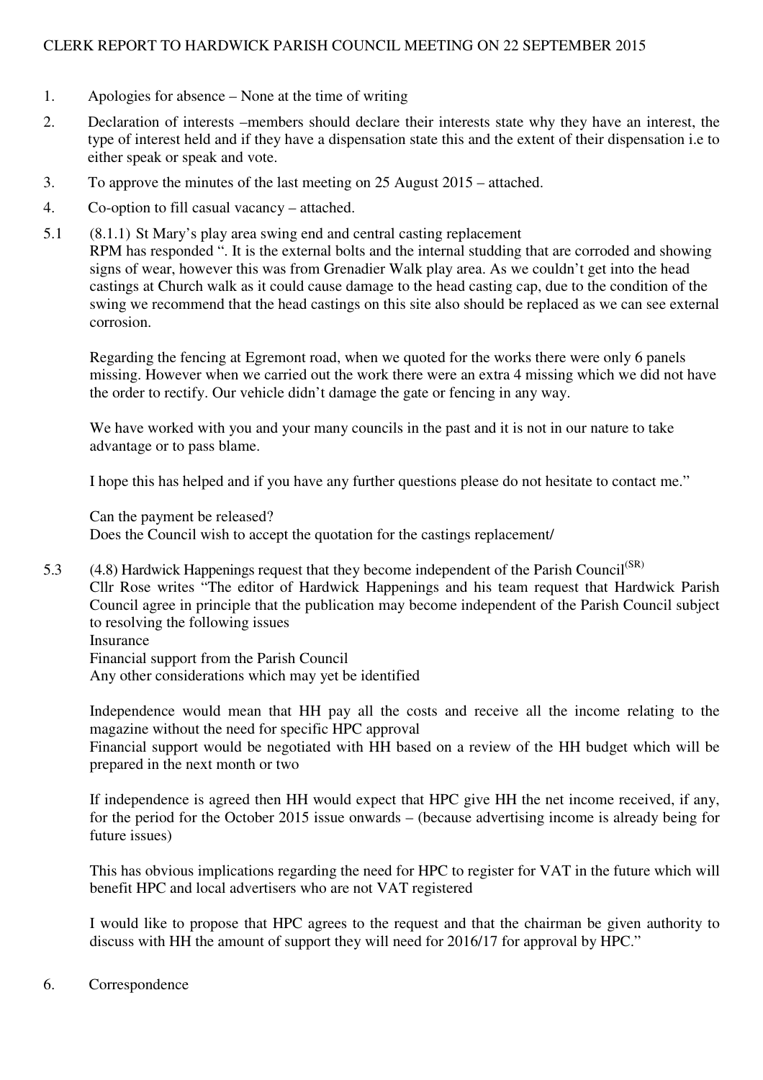#### CLERK REPORT TO HARDWICK PARISH COUNCIL MEETING ON 22 SEPTEMBER 2015

- 1. Apologies for absence None at the time of writing
- 2. Declaration of interests –members should declare their interests state why they have an interest, the type of interest held and if they have a dispensation state this and the extent of their dispensation i.e to either speak or speak and vote.
- 3. To approve the minutes of the last meeting on 25 August 2015 attached.
- 4. Co-option to fill casual vacancy attached.
- 5.1 (8.1.1) St Mary's play area swing end and central casting replacement RPM has responded ". It is the external bolts and the internal studding that are corroded and showing signs of wear, however this was from Grenadier Walk play area. As we couldn't get into the head castings at Church walk as it could cause damage to the head casting cap, due to the condition of the swing we recommend that the head castings on this site also should be replaced as we can see external corrosion.

Regarding the fencing at Egremont road, when we quoted for the works there were only 6 panels missing. However when we carried out the work there were an extra 4 missing which we did not have the order to rectify. Our vehicle didn't damage the gate or fencing in any way.

We have worked with you and your many councils in the past and it is not in our nature to take advantage or to pass blame.

I hope this has helped and if you have any further questions please do not hesitate to contact me."

Can the payment be released? Does the Council wish to accept the quotation for the castings replacement/

5.3 (4.8) Hardwick Happenings request that they become independent of the Parish Council<sup>(SR)</sup> Cllr Rose writes "The editor of Hardwick Happenings and his team request that Hardwick Parish Council agree in principle that the publication may become independent of the Parish Council subject to resolving the following issues Insurance

Financial support from the Parish Council Any other considerations which may yet be identified

Independence would mean that HH pay all the costs and receive all the income relating to the magazine without the need for specific HPC approval

Financial support would be negotiated with HH based on a review of the HH budget which will be prepared in the next month or two

If independence is agreed then HH would expect that HPC give HH the net income received, if any, for the period for the October 2015 issue onwards – (because advertising income is already being for future issues)

This has obvious implications regarding the need for HPC to register for VAT in the future which will benefit HPC and local advertisers who are not VAT registered

I would like to propose that HPC agrees to the request and that the chairman be given authority to discuss with HH the amount of support they will need for 2016/17 for approval by HPC."

6. Correspondence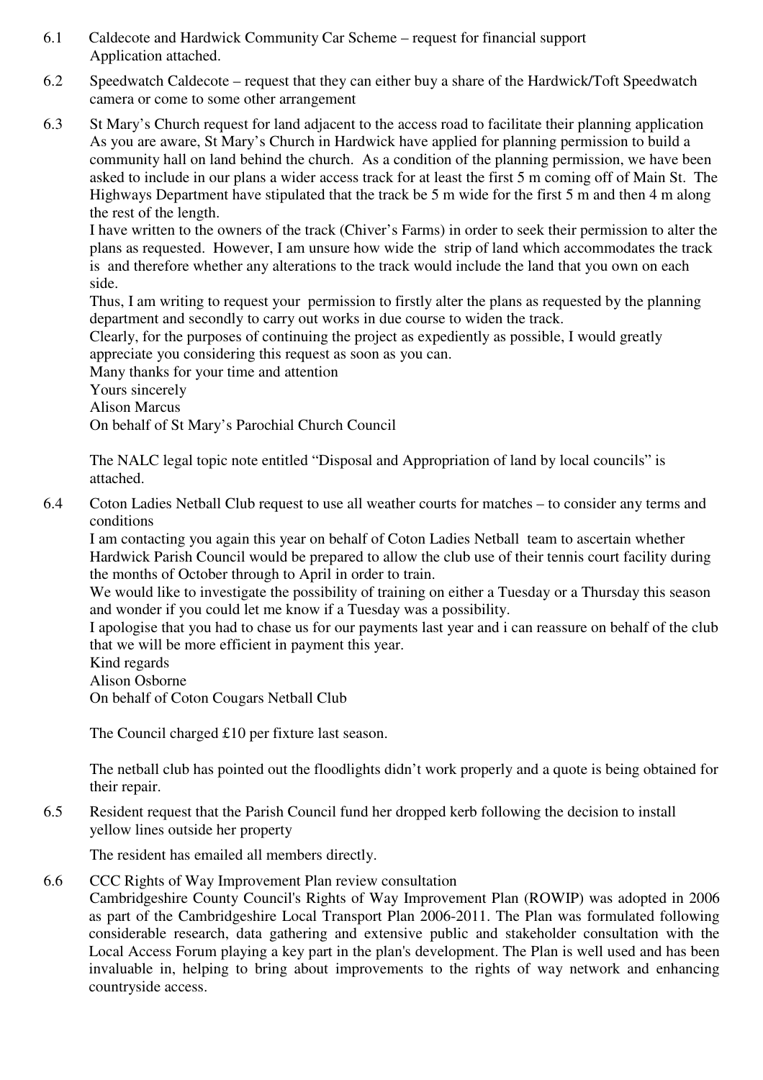- 6.1 Caldecote and Hardwick Community Car Scheme request for financial support Application attached.
- 6.2 Speedwatch Caldecote request that they can either buy a share of the Hardwick/Toft Speedwatch camera or come to some other arrangement
- 6.3 St Mary's Church request for land adjacent to the access road to facilitate their planning application As you are aware, St Mary's Church in Hardwick have applied for planning permission to build a community hall on land behind the church. As a condition of the planning permission, we have been asked to include in our plans a wider access track for at least the first 5 m coming off of Main St. The Highways Department have stipulated that the track be 5 m wide for the first 5 m and then 4 m along the rest of the length.

I have written to the owners of the track (Chiver's Farms) in order to seek their permission to alter the plans as requested. However, I am unsure how wide the strip of land which accommodates the track is and therefore whether any alterations to the track would include the land that you own on each side.

Thus, I am writing to request your permission to firstly alter the plans as requested by the planning department and secondly to carry out works in due course to widen the track.

Clearly, for the purposes of continuing the project as expediently as possible, I would greatly appreciate you considering this request as soon as you can.

Many thanks for your time and attention

Yours sincerely Alison Marcus

On behalf of St Mary's Parochial Church Council

The NALC legal topic note entitled "Disposal and Appropriation of land by local councils" is attached.

6.4 Coton Ladies Netball Club request to use all weather courts for matches – to consider any terms and conditions

I am contacting you again this year on behalf of Coton Ladies Netball team to ascertain whether Hardwick Parish Council would be prepared to allow the club use of their tennis court facility during the months of October through to April in order to train.

We would like to investigate the possibility of training on either a Tuesday or a Thursday this season and wonder if you could let me know if a Tuesday was a possibility.

I apologise that you had to chase us for our payments last year and i can reassure on behalf of the club that we will be more efficient in payment this year.

- Kind regards
- Alison Osborne

On behalf of Coton Cougars Netball Club

The Council charged £10 per fixture last season.

The netball club has pointed out the floodlights didn't work properly and a quote is being obtained for their repair.

6.5 Resident request that the Parish Council fund her dropped kerb following the decision to install yellow lines outside her property

The resident has emailed all members directly.

6.6 CCC Rights of Way Improvement Plan review consultation

 Cambridgeshire County Council's Rights of Way Improvement Plan (ROWIP) was adopted in 2006 as part of the Cambridgeshire Local Transport Plan 2006-2011. The Plan was formulated following considerable research, data gathering and extensive public and stakeholder consultation with the Local Access Forum playing a key part in the plan's development. The Plan is well used and has been invaluable in, helping to bring about improvements to the rights of way network and enhancing countryside access.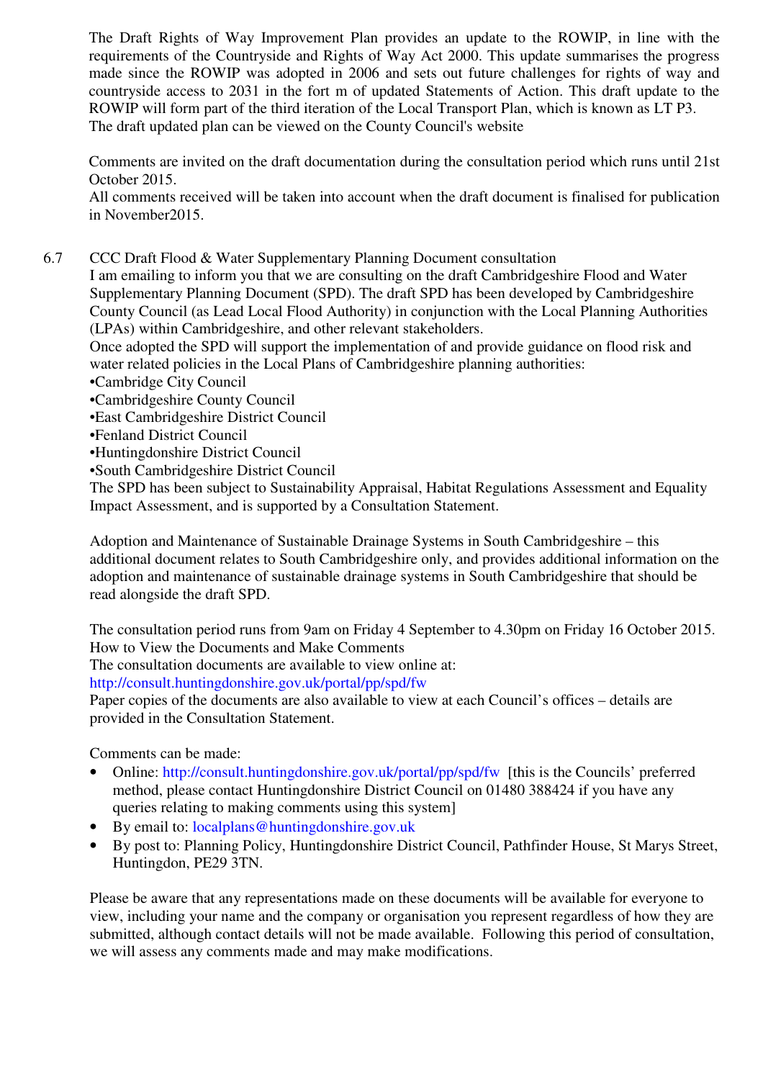The Draft Rights of Way Improvement Plan provides an update to the ROWIP, in line with the requirements of the Countryside and Rights of Way Act 2000. This update summarises the progress made since the ROWIP was adopted in 2006 and sets out future challenges for rights of way and countryside access to 2031 in the fort m of updated Statements of Action. This draft update to the ROWIP will form part of the third iteration of the Local Transport Plan, which is known as LT P3. The draft updated plan can be viewed on the County Council's website

Comments are invited on the draft documentation during the consultation period which runs until 21st October 2015.

All comments received will be taken into account when the draft document is finalised for publication in November2015.

6.7 CCC Draft Flood & Water Supplementary Planning Document consultation I am emailing to inform you that we are consulting on the draft Cambridgeshire Flood and Water Supplementary Planning Document (SPD). The draft SPD has been developed by Cambridgeshire County Council (as Lead Local Flood Authority) in conjunction with the Local Planning Authorities (LPAs) within Cambridgeshire, and other relevant stakeholders.

Once adopted the SPD will support the implementation of and provide guidance on flood risk and water related policies in the Local Plans of Cambridgeshire planning authorities:

- •Cambridge City Council
- •Cambridgeshire County Council
- •East Cambridgeshire District Council
- •Fenland District Council
- •Huntingdonshire District Council
- •South Cambridgeshire District Council

The SPD has been subject to Sustainability Appraisal, Habitat Regulations Assessment and Equality Impact Assessment, and is supported by a Consultation Statement.

Adoption and Maintenance of Sustainable Drainage Systems in South Cambridgeshire – this additional document relates to South Cambridgeshire only, and provides additional information on the adoption and maintenance of sustainable drainage systems in South Cambridgeshire that should be read alongside the draft SPD.

The consultation period runs from 9am on Friday 4 September to 4.30pm on Friday 16 October 2015. How to View the Documents and Make Comments

The consultation documents are available to view online at:

http://consult.huntingdonshire.gov.uk/portal/pp/spd/fw

Paper copies of the documents are also available to view at each Council's offices – details are provided in the Consultation Statement.

Comments can be made:

- Online: http://consult.huntingdonshire.gov.uk/portal/pp/spd/fw [this is the Councils' preferred method, please contact Huntingdonshire District Council on 01480 388424 if you have any queries relating to making comments using this system]
- By email to: localplans@huntingdonshire.gov.uk
- By post to: Planning Policy, Huntingdonshire District Council, Pathfinder House, St Marys Street, Huntingdon, PE29 3TN.

Please be aware that any representations made on these documents will be available for everyone to view, including your name and the company or organisation you represent regardless of how they are submitted, although contact details will not be made available. Following this period of consultation, we will assess any comments made and may make modifications.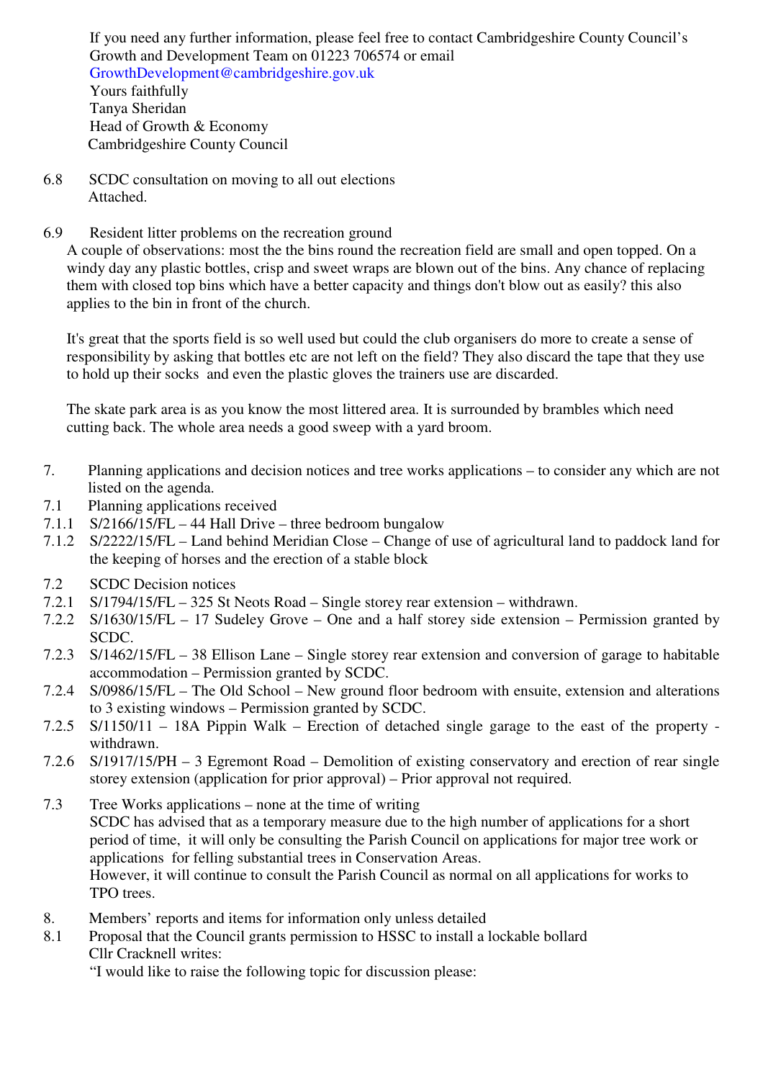If you need any further information, please feel free to contact Cambridgeshire County Council's Growth and Development Team on 01223 706574 or email GrowthDevelopment@cambridgeshire.gov.uk Yours faithfully Tanya Sheridan Head of Growth & Economy Cambridgeshire County Council

- 6.8 SCDC consultation on moving to all out elections
- Attached.
- 6.9 Resident litter problems on the recreation ground

A couple of observations: most the the bins round the recreation field are small and open topped. On a windy day any plastic bottles, crisp and sweet wraps are blown out of the bins. Any chance of replacing them with closed top bins which have a better capacity and things don't blow out as easily? this also applies to the bin in front of the church.

It's great that the sports field is so well used but could the club organisers do more to create a sense of responsibility by asking that bottles etc are not left on the field? They also discard the tape that they use to hold up their socks and even the plastic gloves the trainers use are discarded.

The skate park area is as you know the most littered area. It is surrounded by brambles which need cutting back. The whole area needs a good sweep with a yard broom.

- 7. Planning applications and decision notices and tree works applications to consider any which are not listed on the agenda.
- 7.1 Planning applications received
- 7.1.1 S/2166/15/FL 44 Hall Drive three bedroom bungalow
- 7.1.2 S/2222/15/FL Land behind Meridian Close Change of use of agricultural land to paddock land for the keeping of horses and the erection of a stable block
- 7.2 SCDC Decision notices
- 7.2.1 S/1794/15/FL 325 St Neots Road Single storey rear extension withdrawn.
- 7.2.2 S/1630/15/FL 17 Sudeley Grove One and a half storey side extension Permission granted by SCDC.
- 7.2.3 S/1462/15/FL 38 Ellison Lane Single storey rear extension and conversion of garage to habitable accommodation – Permission granted by SCDC.
- 7.2.4 S/0986/15/FL The Old School New ground floor bedroom with ensuite, extension and alterations to 3 existing windows – Permission granted by SCDC.
- 7.2.5 S/1150/11 18A Pippin Walk Erection of detached single garage to the east of the property withdrawn.
- 7.2.6 S/1917/15/PH 3 Egremont Road Demolition of existing conservatory and erection of rear single storey extension (application for prior approval) – Prior approval not required.
- 7.3 Tree Works applications none at the time of writing SCDC has advised that as a temporary measure due to the high number of applications for a short period of time, it will only be consulting the Parish Council on applications for major tree work or applications for felling substantial trees in Conservation Areas. However, it will continue to consult the Parish Council as normal on all applications for works to TPO trees.
- 8. Members' reports and items for information only unless detailed
- 8.1 Proposal that the Council grants permission to HSSC to install a lockable bollard Cllr Cracknell writes:

"I would like to raise the following topic for discussion please: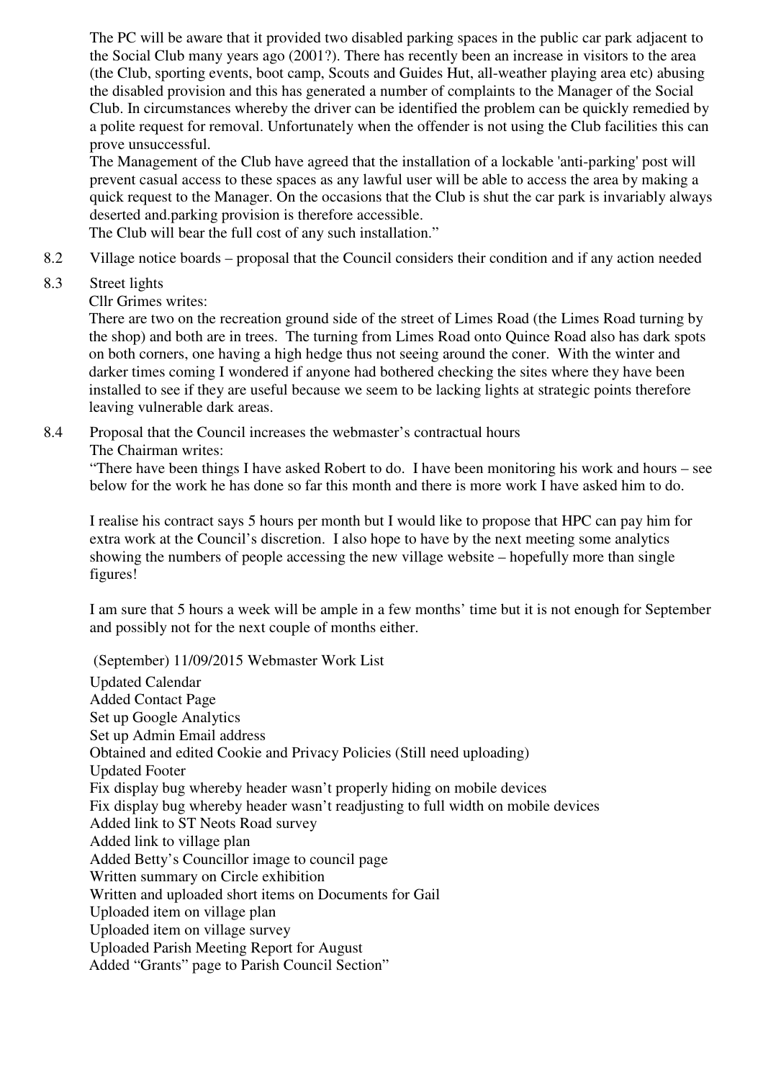The PC will be aware that it provided two disabled parking spaces in the public car park adjacent to the Social Club many years ago (2001?). There has recently been an increase in visitors to the area (the Club, sporting events, boot camp, Scouts and Guides Hut, all-weather playing area etc) abusing the disabled provision and this has generated a number of complaints to the Manager of the Social Club. In circumstances whereby the driver can be identified the problem can be quickly remedied by a polite request for removal. Unfortunately when the offender is not using the Club facilities this can prove unsuccessful.

The Management of the Club have agreed that the installation of a lockable 'anti-parking' post will prevent casual access to these spaces as any lawful user will be able to access the area by making a quick request to the Manager. On the occasions that the Club is shut the car park is invariably always deserted and.parking provision is therefore accessible.

The Club will bear the full cost of any such installation."

- 8.2 Village notice boards proposal that the Council considers their condition and if any action needed
- 8.3 Street lights

Cllr Grimes writes:

There are two on the recreation ground side of the street of Limes Road (the Limes Road turning by the shop) and both are in trees. The turning from Limes Road onto Quince Road also has dark spots on both corners, one having a high hedge thus not seeing around the coner. With the winter and darker times coming I wondered if anyone had bothered checking the sites where they have been installed to see if they are useful because we seem to be lacking lights at strategic points therefore leaving vulnerable dark areas.

## 8.4 Proposal that the Council increases the webmaster's contractual hours

The Chairman writes:

"There have been things I have asked Robert to do. I have been monitoring his work and hours – see below for the work he has done so far this month and there is more work I have asked him to do.

I realise his contract says 5 hours per month but I would like to propose that HPC can pay him for extra work at the Council's discretion. I also hope to have by the next meeting some analytics showing the numbers of people accessing the new village website – hopefully more than single figures!

I am sure that 5 hours a week will be ample in a few months' time but it is not enough for September and possibly not for the next couple of months either.

(September) 11/09/2015 Webmaster Work List

Updated Calendar Added Contact Page Set up Google Analytics Set up Admin Email address Obtained and edited Cookie and Privacy Policies (Still need uploading) Updated Footer Fix display bug whereby header wasn't properly hiding on mobile devices Fix display bug whereby header wasn't readjusting to full width on mobile devices Added link to ST Neots Road survey Added link to village plan Added Betty's Councillor image to council page Written summary on Circle exhibition Written and uploaded short items on Documents for Gail Uploaded item on village plan Uploaded item on village survey Uploaded Parish Meeting Report for August Added "Grants" page to Parish Council Section"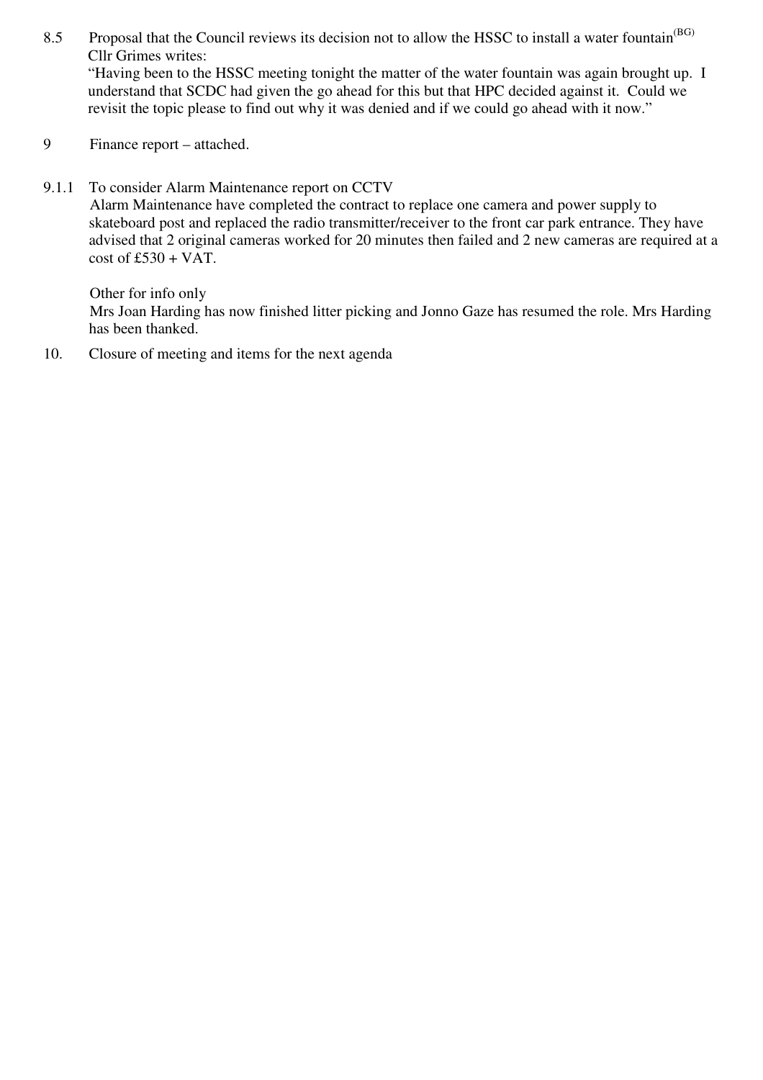- 8.5 Proposal that the Council reviews its decision not to allow the HSSC to install a water fountain<sup>(BG)</sup> Cllr Grimes writes: "Having been to the HSSC meeting tonight the matter of the water fountain was again brought up. I understand that SCDC had given the go ahead for this but that HPC decided against it. Could we revisit the topic please to find out why it was denied and if we could go ahead with it now."
- 9 Finance report attached.
- 9.1.1 To consider Alarm Maintenance report on CCTV

Alarm Maintenance have completed the contract to replace one camera and power supply to skateboard post and replaced the radio transmitter/receiver to the front car park entrance. They have advised that 2 original cameras worked for 20 minutes then failed and 2 new cameras are required at a  $cost of £530 + VAT.$ 

Other for info only Mrs Joan Harding has now finished litter picking and Jonno Gaze has resumed the role. Mrs Harding has been thanked.

10. Closure of meeting and items for the next agenda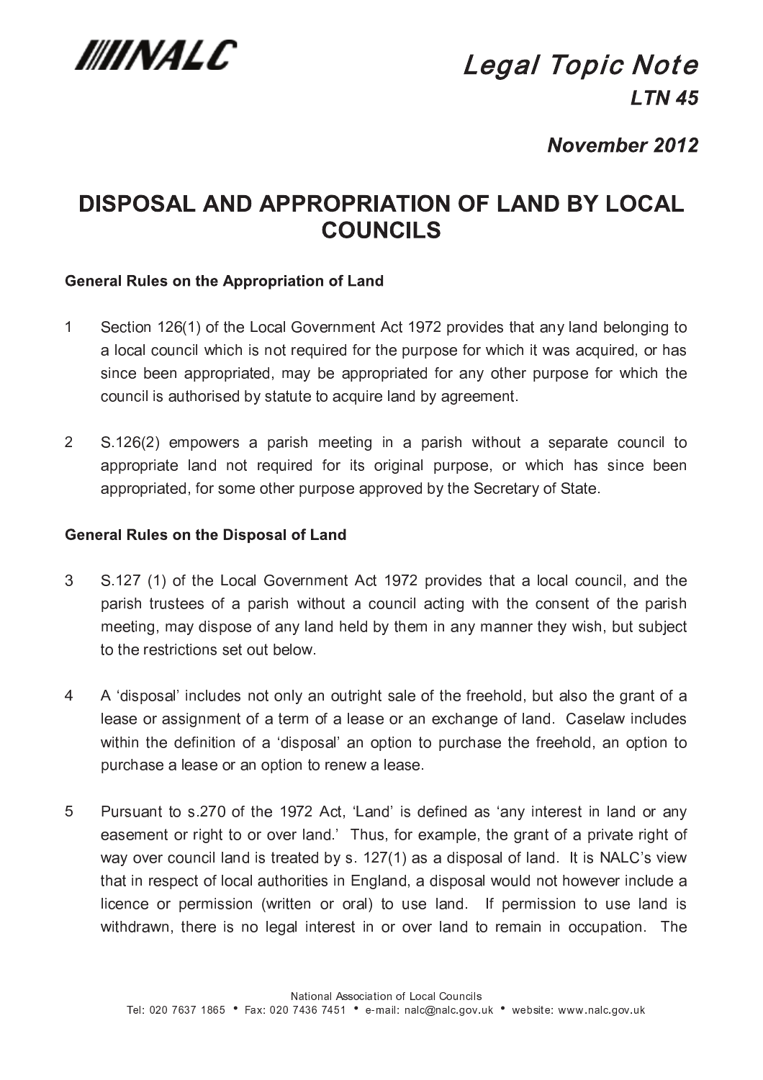

## **Legal Topic Note I TN 45**

**November 2012** 

## DISPOSAL AND APPROPRIATION OF LAND BY LOCAL **COUNCILS**

### **General Rules on the Appropriation of Land**

- $\mathbf{1}$ Section 126(1) of the Local Government Act 1972 provides that any land belonging to a local council which is not required for the purpose for which it was acquired, or has since been appropriated, may be appropriated for any other purpose for which the council is authorised by statute to acquire land by agreement.
- $2<sup>1</sup>$ S.126(2) empowers a parish meeting in a parish without a separate council to appropriate land not required for its original purpose, or which has since been appropriated, for some other purpose approved by the Secretary of State.

#### **General Rules on the Disposal of Land**

- 3 S.127 (1) of the Local Government Act 1972 provides that a local council, and the parish trustees of a parish without a council acting with the consent of the parish meeting, may dispose of any land held by them in any manner they wish, but subject to the restrictions set out below.
- $\overline{4}$ A 'disposal' includes not only an outright sale of the freehold, but also the grant of a lease or assignment of a term of a lease or an exchange of land. Caselaw includes within the definition of a 'disposal' an option to purchase the freehold, an option to purchase a lease or an option to renew a lease.
- 5 Pursuant to s.270 of the 1972 Act, 'Land' is defined as 'any interest in land or any easement or right to or over land.' Thus, for example, the grant of a private right of way over council land is treated by s. 127(1) as a disposal of land. It is NALC's view that in respect of local authorities in England, a disposal would not however include a licence or permission (written or oral) to use land. If permission to use land is withdrawn, there is no legal interest in or over land to remain in occupation. The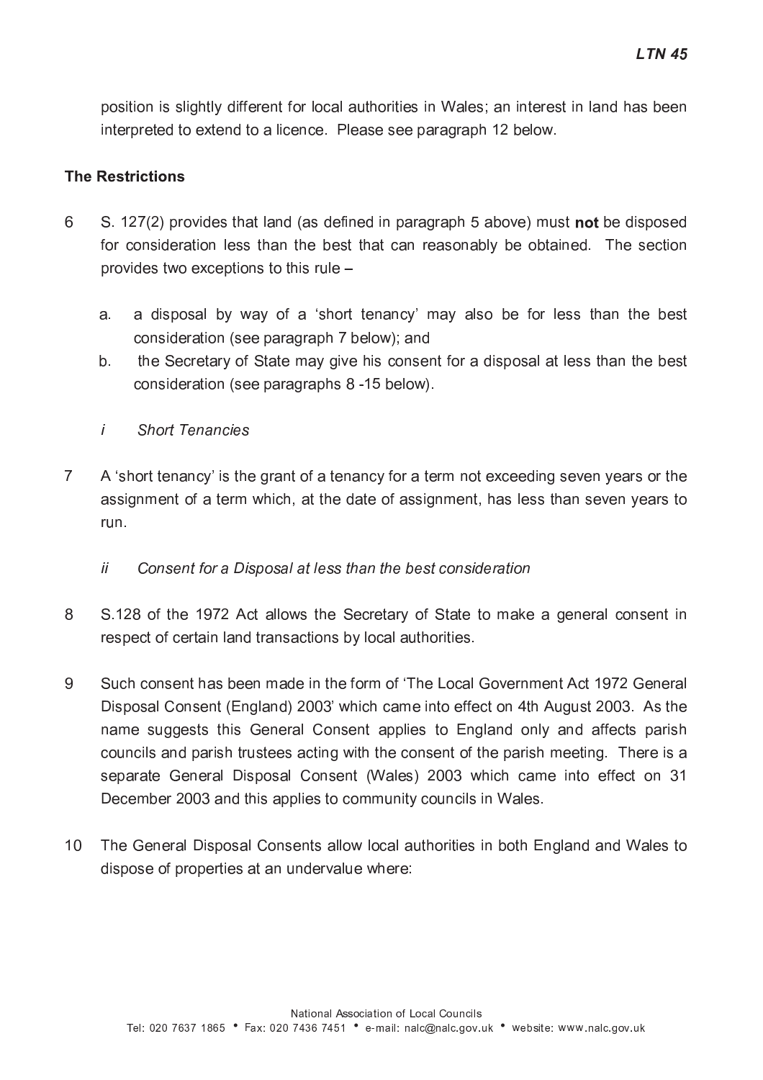position is slightly different for local authorities in Wales; an interest in land has been interpreted to extend to a licence. Please see paragraph 12 below.

## **The Restrictions**

- $6\overline{6}$ S. 127(2) provides that land (as defined in paragraph 5 above) must not be disposed for consideration less than the best that can reasonably be obtained. The section provides two exceptions to this rule
	- a disposal by way of a 'short tenancy' may also be for less than the best a. consideration (see paragraph 7 below); and
	- $b_{-}$ the Secretary of State may give his consent for a disposal at less than the best consideration (see paragraphs 8 -15 below).
	- **Short Tenancies**  $\mathbf{i}$
- $\overline{7}$ A 'short tenancy' is the grant of a tenancy for a term not exceeding seven years or the assignment of a term which, at the date of assignment, has less than seven years to run.
	- $ii$ Consent for a Disposal at less than the best consideration
- 8 S.128 of the 1972 Act allows the Secretary of State to make a general consent in respect of certain land transactions by local authorities.
- 9 Such consent has been made in the form of 'The Local Government Act 1972 General Disposal Consent (England) 2003' which came into effect on 4th August 2003. As the name suggests this General Consent applies to England only and affects parish councils and parish trustees acting with the consent of the parish meeting. There is a separate General Disposal Consent (Wales) 2003 which came into effect on 31 December 2003 and this applies to community councils in Wales.
- $10<sup>°</sup>$ The General Disposal Consents allow local authorities in both England and Wales to dispose of properties at an undervalue where: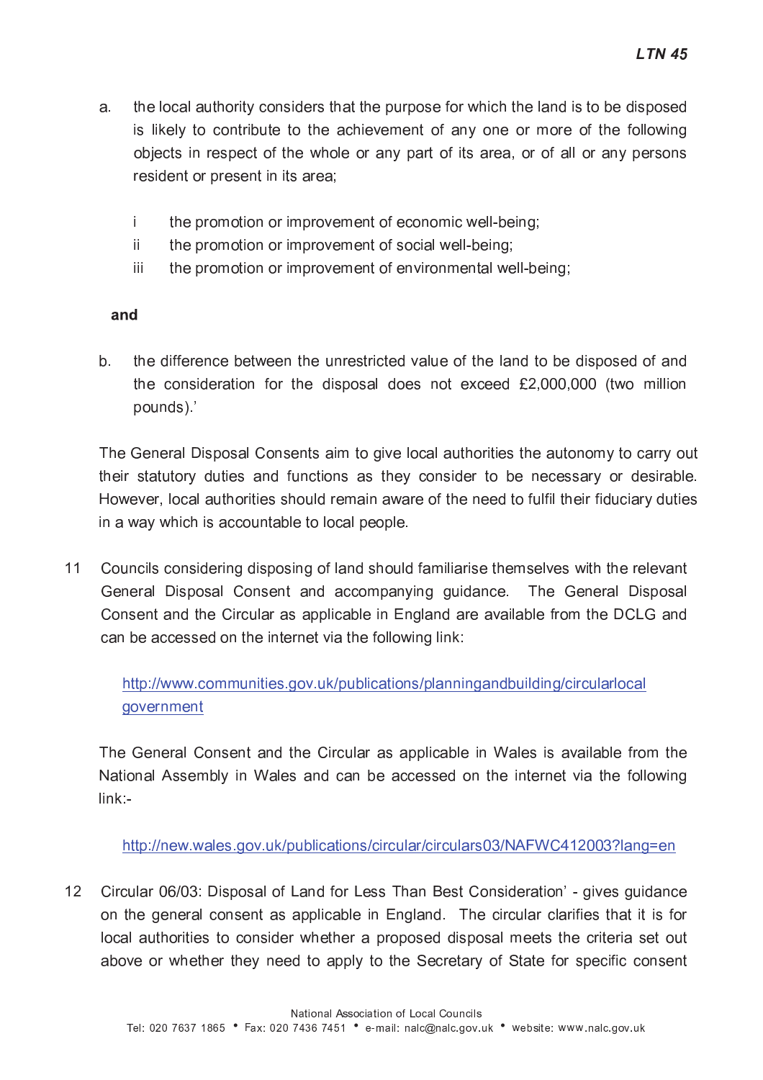- the local authority considers that the purpose for which the land is to be disposed a. is likely to contribute to the achievement of any one or more of the following objects in respect of the whole or any part of its area, or of all or any persons resident or present in its area:
	- $\mathbf{i}$ the promotion or improvement of economic well-being;
	- ii. the promotion or improvement of social well-being;
	- iii the promotion or improvement of environmental well-being;

## and

 $b$ . the difference between the unrestricted value of the land to be disposed of and the consideration for the disposal does not exceed  $£2,000,000$  (two million pounds).'

The General Disposal Consents aim to give local authorities the autonomy to carry out their statutory duties and functions as they consider to be necessary or desirable. However, local authorities should remain aware of the need to fulfil their fiduciary duties in a way which is accountable to local people.

 $11$ Councils considering disposing of land should familiarise themselves with the relevant General Disposal Consent and accompanying guidance. The General Disposal Consent and the Circular as applicable in England are available from the DCLG and can be accessed on the internet via the following link:

http://www.communities.gov.uk/publications/planningandbuilding/circularlocal government

The General Consent and the Circular as applicable in Wales is available from the National Assembly in Wales and can be accessed on the internet via the following  $link -$ 

http://new.wales.gov.uk/publications/circular/circulars03/NAFWC412003?lang=en

 $12<sup>2</sup>$ Circular 06/03: Disposal of Land for Less Than Best Consideration' - gives guidance on the general consent as applicable in England. The circular clarifies that it is for local authorities to consider whether a proposed disposal meets the criteria set out above or whether they need to apply to the Secretary of State for specific consent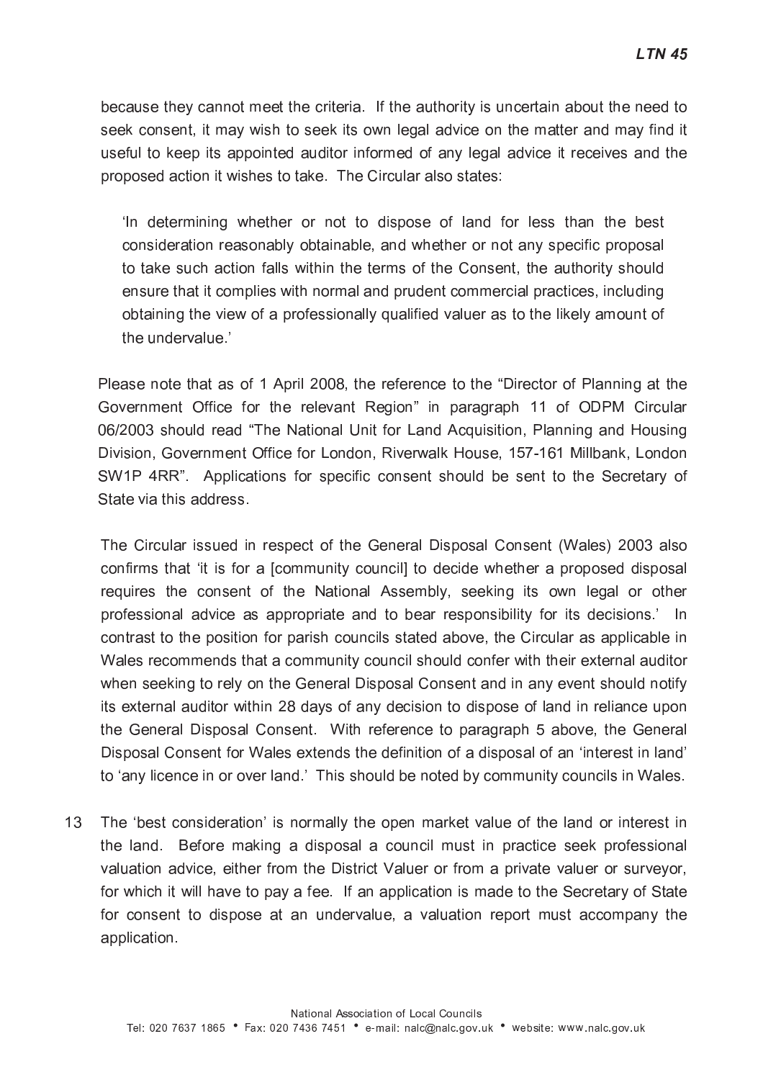because they cannot meet the criteria. If the authority is uncertain about the need to seek consent, it may wish to seek its own legal advice on the matter and may find it useful to keep its appointed auditor informed of any legal advice it receives and the proposed action it wishes to take. The Circular also states:

'In determining whether or not to dispose of land for less than the best consideration reasonably obtainable, and whether or not any specific proposal to take such action falls within the terms of the Consent, the authority should ensure that it complies with normal and prudent commercial practices, including obtaining the view of a professionally qualified valuer as to the likely amount of the undervalue.'

Please note that as of 1 April 2008, the reference to the "Director of Planning at the Government Office for the relevant Region" in paragraph 11 of ODPM Circular 06/2003 should read "The National Unit for Land Acquisition, Planning and Housing Division, Government Office for London, Riverwalk House, 157-161 Millbank, London SW1P 4RR". Applications for specific consent should be sent to the Secretary of State via this address.

The Circular issued in respect of the General Disposal Consent (Wales) 2003 also confirms that 'it is for a [community council] to decide whether a proposed disposal requires the consent of the National Assembly, seeking its own legal or other professional advice as appropriate and to bear responsibility for its decisions.' In contrast to the position for parish councils stated above, the Circular as applicable in Wales recommends that a community council should confer with their external auditor when seeking to rely on the General Disposal Consent and in any event should notify its external auditor within 28 days of any decision to dispose of land in reliance upon the General Disposal Consent. With reference to paragraph 5 above, the General Disposal Consent for Wales extends the definition of a disposal of an 'interest in land' to 'any licence in or over land.' This should be noted by community councils in Wales.

 $13<sup>°</sup>$ The 'best consideration' is normally the open market value of the land or interest in the land. Before making a disposal a council must in practice seek professional valuation advice, either from the District Valuer or from a private valuer or surveyor, for which it will have to pay a fee. If an application is made to the Secretary of State for consent to dispose at an undervalue, a valuation report must accompany the application.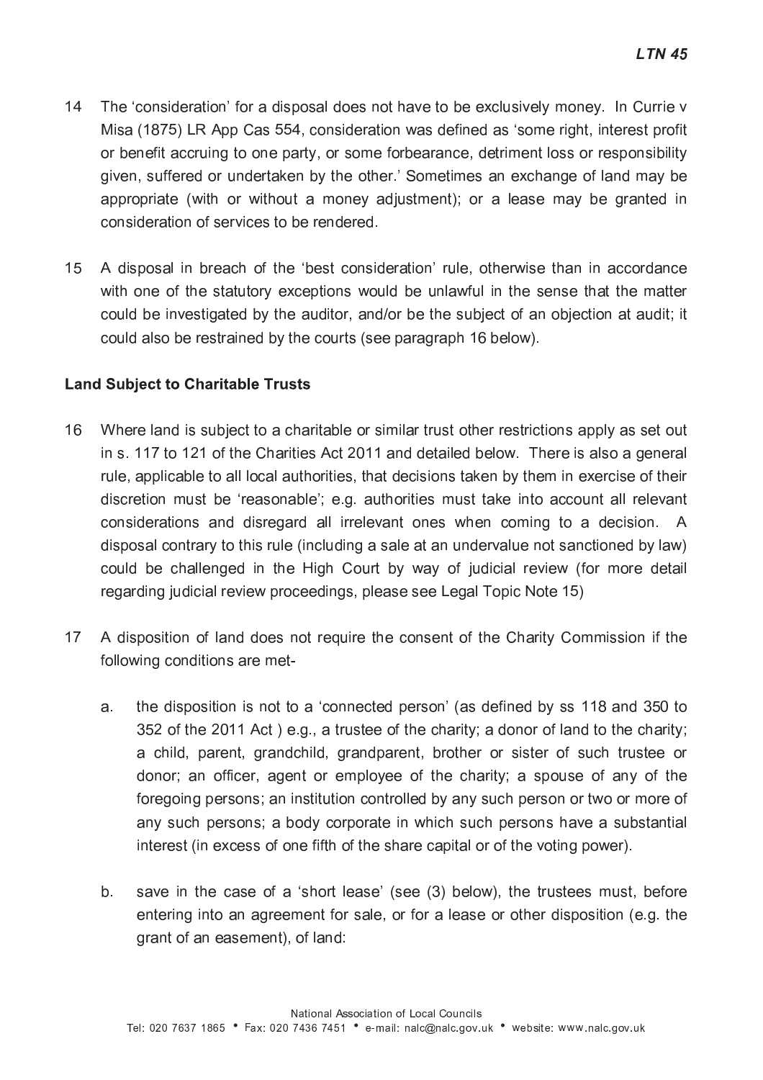- $14$ The 'consideration' for a disposal does not have to be exclusively money. In Currie v Misa (1875) LR App Cas 554, consideration was defined as 'some right, interest profit or benefit accruing to one party, or some forbearance, detriment loss or responsibility given, suffered or undertaken by the other.' Sometimes an exchange of land may be appropriate (with or without a money adjustment); or a lease may be granted in consideration of services to be rendered.
- $15<sup>15</sup>$ A disposal in breach of the 'best consideration' rule, otherwise than in accordance with one of the statutory exceptions would be unlawful in the sense that the matter could be investigated by the auditor, and/or be the subject of an objection at audit; it could also be restrained by the courts (see paragraph 16 below).

## **Land Subject to Charitable Trusts**

- $16$ Where land is subject to a charitable or similar trust other restrictions apply as set out in s. 117 to 121 of the Charities Act 2011 and detailed below. There is also a general rule, applicable to all local authorities, that decisions taken by them in exercise of their discretion must be 'reasonable'; e.g. authorities must take into account all relevant considerations and disregard all irrelevant ones when coming to a decision. **A** disposal contrary to this rule (including a sale at an undervalue not sanctioned by law) could be challenged in the High Court by way of judicial review (for more detail regarding judicial review proceedings, please see Legal Topic Note 15)
- $17<sup>2</sup>$ A disposition of land does not require the consent of the Charity Commission if the following conditions are met
	- the disposition is not to a 'connected person' (as defined by ss 118 and 350 to a. 352 of the 2011 Act) e.g., a trustee of the charity; a donor of land to the charity; a child, parent, grandchild, grandparent, brother or sister of such trustee or donor; an officer, agent or employee of the charity; a spouse of any of the foregoing persons; an institution controlled by any such person or two or more of any such persons; a body corporate in which such persons have a substantial interest (in excess of one fifth of the share capital or of the voting power).
	- $b_{-}$ save in the case of a 'short lease' (see (3) below), the trustees must, before entering into an agreement for sale, or for a lease or other disposition (e.g. the grant of an easement), of land: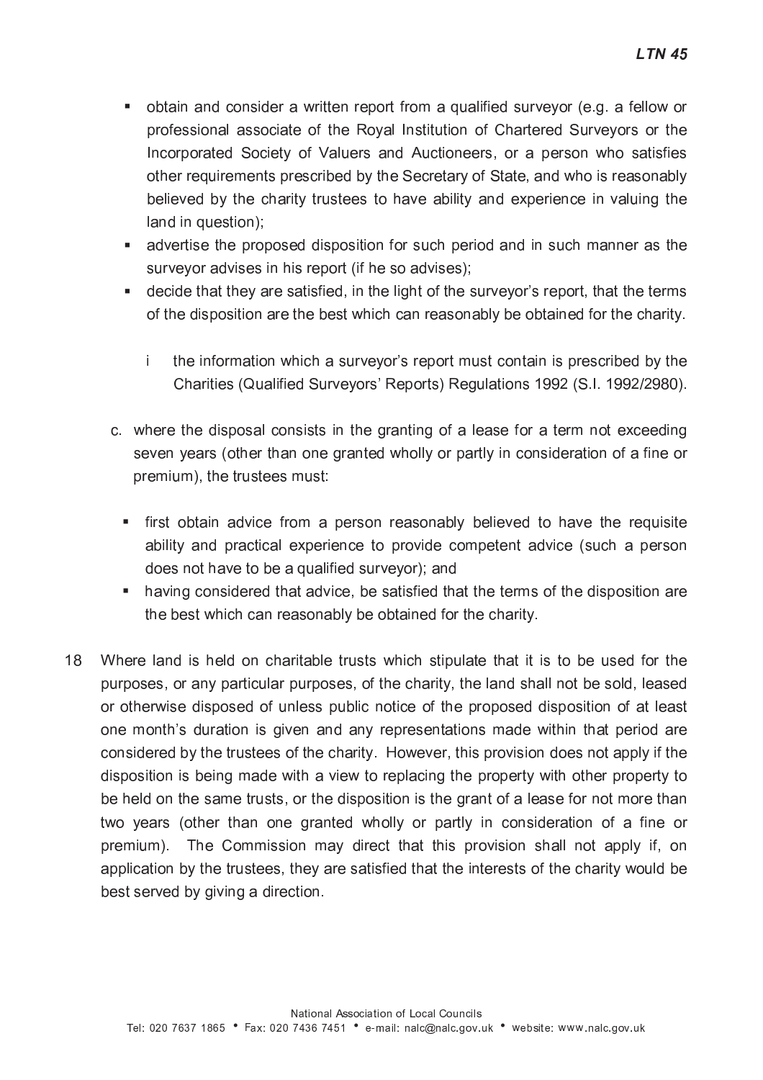- obtain and consider a written report from a qualified surveyor (e.g. a fellow or professional associate of the Royal Institution of Chartered Surveyors or the Incorporated Society of Valuers and Auctioneers, or a person who satisfies other requirements prescribed by the Secretary of State, and who is reasonably believed by the charity trustees to have ability and experience in valuing the land in question);
- advertise the proposed disposition for such period and in such manner as the surveyor advises in his report (if he so advises);
- decide that they are satisfied, in the light of the surveyor's report, that the terms of the disposition are the best which can reasonably be obtained for the charity.
	- i. the information which a surveyor's report must contain is prescribed by the Charities (Qualified Surveyors' Reports) Regulations 1992 (S.I. 1992/2980).
- c. where the disposal consists in the granting of a lease for a term not exceeding seven years (other than one granted wholly or partly in consideration of a fine or premium), the trustees must:
	- first obtain advice from a person reasonably believed to have the requisite ability and practical experience to provide competent advice (such a person does not have to be a qualified surveyor); and
	- having considered that advice, be satisfied that the terms of the disposition are the best which can reasonably be obtained for the charity.
- Where land is held on charitable trusts which stipulate that it is to be used for the  $18<sup>°</sup>$ purposes, or any particular purposes, of the charity, the land shall not be sold, leased or otherwise disposed of unless public notice of the proposed disposition of at least one month's duration is given and any representations made within that period are considered by the trustees of the charity. However, this provision does not apply if the disposition is being made with a view to replacing the property with other property to be held on the same trusts, or the disposition is the grant of a lease for not more than two years (other than one granted wholly or partly in consideration of a fine or premium). The Commission may direct that this provision shall not apply if, on application by the trustees, they are satisfied that the interests of the charity would be best served by giving a direction.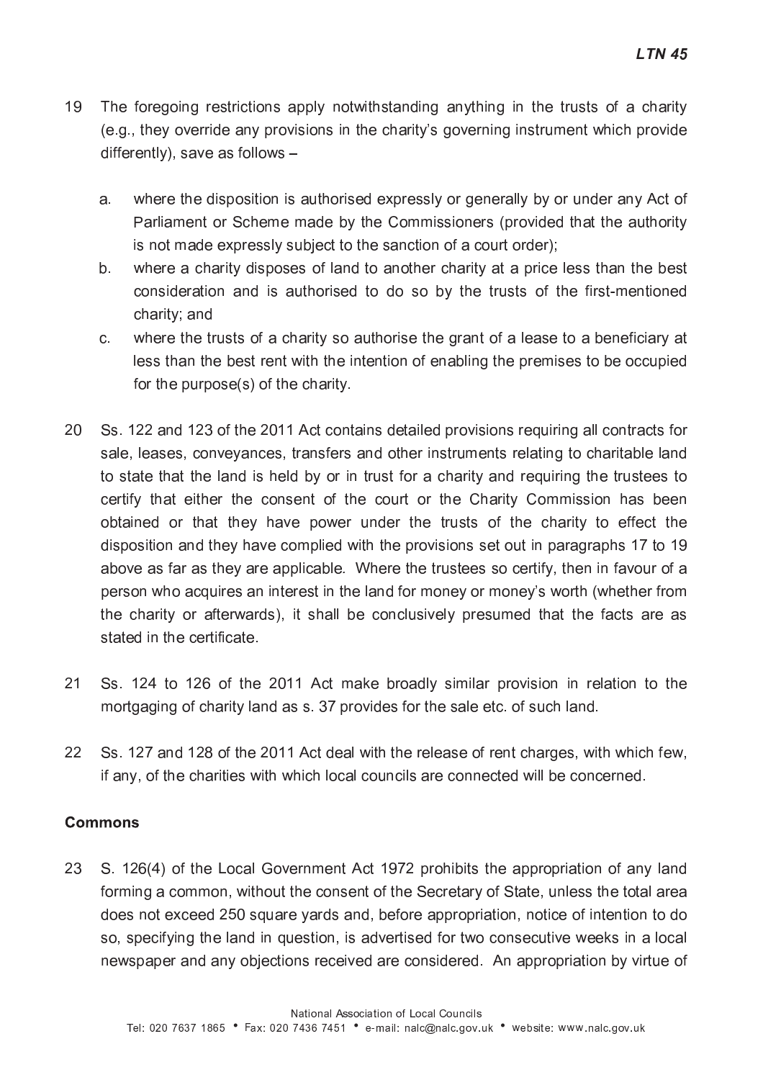- $19<sup>°</sup>$ The foregoing restrictions apply notwithstanding anything in the trusts of a charity (e.g., they override any provisions in the charity's governing instrument which provide differently), save as follows
	- $a<sub>r</sub>$ where the disposition is authorised expressly or generally by or under any Act of Parliament or Scheme made by the Commissioners (provided that the authorit is not made expressly subiect to the sanction of a court order)
	- $b<sub>1</sub>$ where a charity disposes of land to another charity at a price less than the best consideration and is authorised to do so by the trusts of the first-mentione charity; and
	- $C.$ where the trusts of a charity so authorise the grant of a lease to a beneficiary at less than the best rent with the intention of enabling the premises to be occupied for the purpose(s) of the charity
- 20 Ss. 122 and 123 of the 2011 Act contains detailed provisions requiring all contracts fo sale, leases, conveyances, transfers and other instruments relating to charitable land to state that the land is held by or in trust for a charity and requiring the trustees t certify that either the consent of the court or the Charity Commission has bee obtained or that they have power under the trusts of the charity to effect the disposition and they have complied with the provisions set out in paragraphs 17 to 1 above as far as thev are applicable. Where the trustees so certify, then in favour of person who acquires an interest in the land for monev or monev's worth (whether froi the charity or afterwards), it shall be conclusively presumed that the facts are a stated in the certificate
- 21 Ss, 124 to 126 of the 2011 Act make broadly similar provision in relation to the mortgaging of charity land as s. 37 provides for the sale etc. of such land
- 22 Ss, 127 and 128 of the 2011 Act deal with the release of rent charges, with which few if anv, of the charities with which local councils are connected will be concerned

### **Commons**

23 S. 126(4) of the Local Government Act 1972 prohibits the appropriation of any lan forming a common, without the consent of the Secretary of State, unless the total are does not exceed 250 square vards and, before appropriation, notice of intention to d so, specifving the land in question, is advertised for two consecutive weeks in a loca newspaper and any objections received are considered. An appropriation by virtue o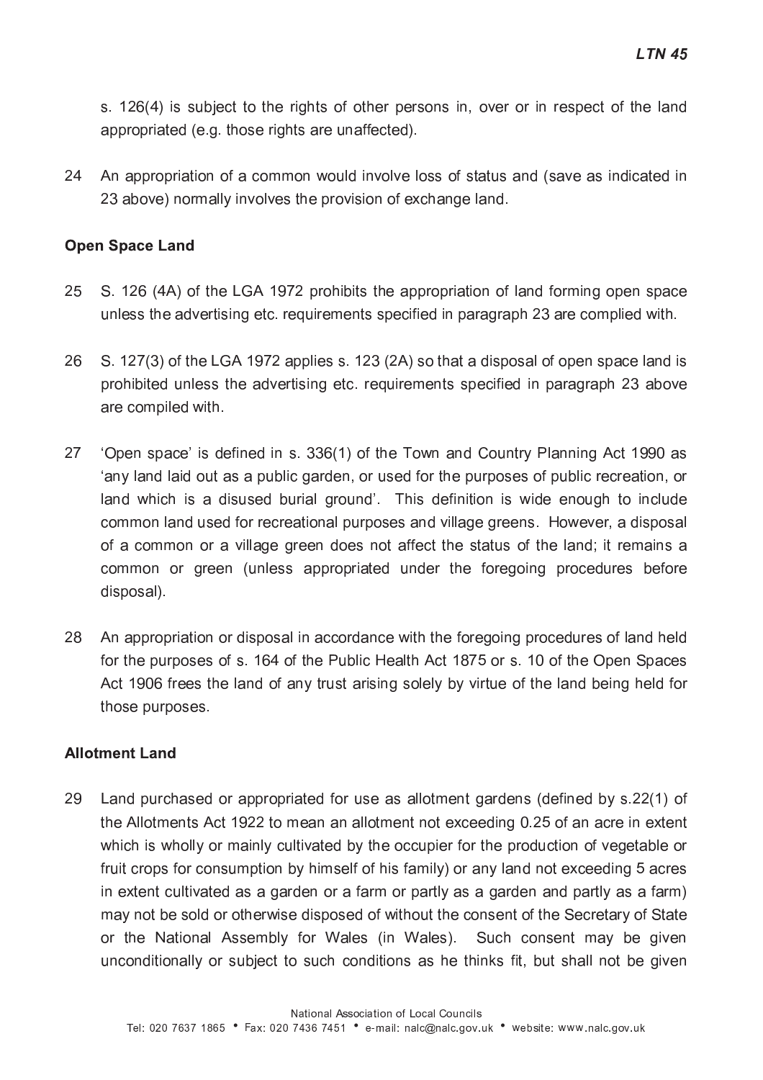s. 126(4) is subject to the rights of other persons in, over or in respect of the land appropriated (e.g. those rights are unaffected).

24 An appropriation of a common would involve loss of status and (save as indicated in 23 above) normally involves the provision of exchange land.

## **Open Space Land**

- 25 S. 126 (4A) of the LGA 1972 prohibits the appropriation of land forming open space unless the advertising etc. requirements specified in paragraph 23 are complied with.
- 26 S. 127(3) of the LGA 1972 applies s. 123 (2A) so that a disposal of open space land is prohibited unless the advertising etc. requirements specified in paragraph 23 above are compiled with.
- 27 'Open space' is defined in s. 336(1) of the Town and Country Planning Act 1990 as 'any land laid out as a public garden, or used for the purposes of public recreation, or land which is a disused burial ground'. This definition is wide enough to include common land used for recreational purposes and village greens. However, a disposal of a common or a village green does not affect the status of the land; it remains a common or green (unless appropriated under the foregoing procedures before disposal).
- 28 An appropriation or disposal in accordance with the foregoing procedures of land held for the purposes of s. 164 of the Public Health Act 1875 or s. 10 of the Open Spaces Act 1906 frees the land of any trust arising solely by virtue of the land being held for those purposes.

## Allotment Land

29 Land purchased or appropriated for use as allotment gardens (defined by s.22(1) of the Allotments Act 1922 to mean an allotment not exceeding 0.25 of an acre in extent which is wholly or mainly cultivated by the occupier for the production of vegetable or fruit crops for consumption by himself of his family) or any land not exceeding 5 acres in extent cultivated as a garden or a farm or partly as a garden and partly as a farm) may not be sold or otherwise disposed of without the consent of the Secretary of State or the National Assembly for Wales (in Wales). Such consent may be given unconditionally or subject to such conditions as he thinks fit, but shall not be given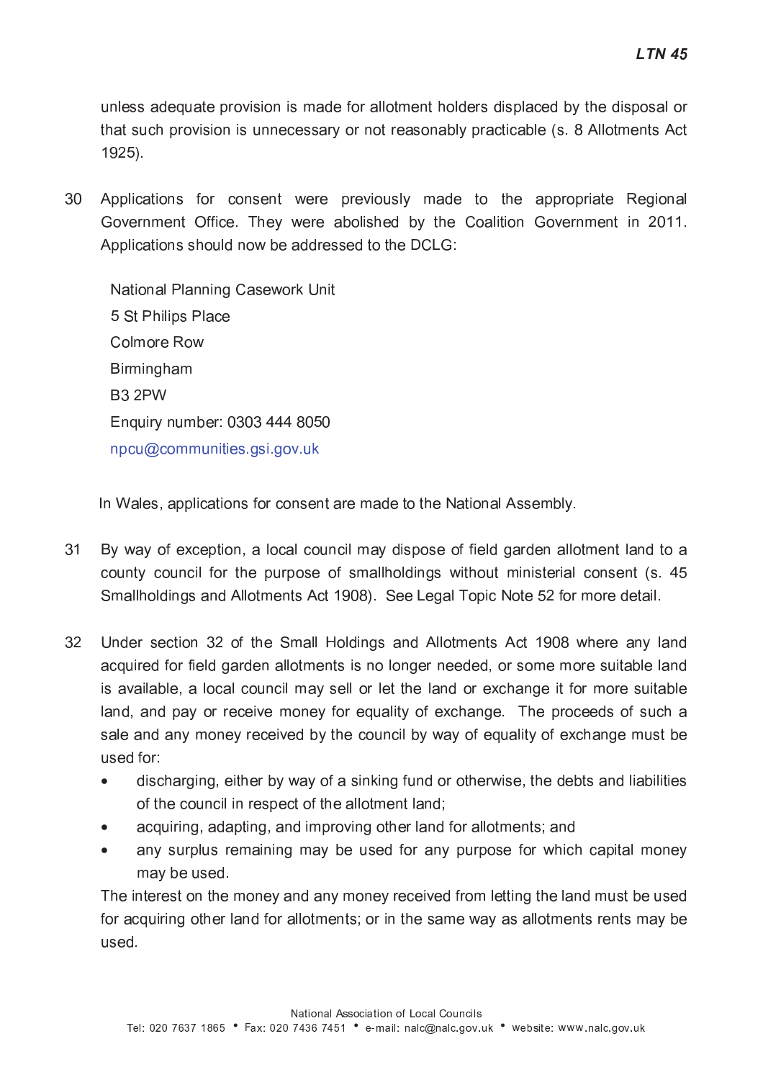unless adequate provision is made for allotment holders displaced by the disposal or that such provision is unnecessary or not reasonably practicable (s. 8 Allotments Act  $1925$ ).

 $30<sup>°</sup>$ Applications for consent were previously made to the appropriate Regional Government Office. They were abolished by the Coalition Government in 2011. Applications should now be addressed to the DCLG:

National Planning Casework Unit 5 St Philips Place **Colmore Row** Birmingham **B32PW** Enquiry number: 0303 444 8050 npcu@communities.gsi.gov.uk

In Wales, applications for consent are made to the National Assembly.

- 31 By way of exception, a local council may dispose of field garden allotment land to a county council for the purpose of smallholdings without ministerial consent (s. 45 Smallholdings and Allotments Act 1908). See Legal Topic Note 52 for more detail.
- $32<sup>2</sup>$ Under section 32 of the Small Holdings and Allotments Act 1908 where any land acquired for field garden allotments is no longer needed, or some more suitable land is available, a local council may sell or let the land or exchange it for more suitable land, and pay or receive money for equality of exchange. The proceeds of such a sale and any money received by the council by way of equality of exchange must be used for:
	- discharging, either by way of a sinking fund or otherwise, the debts and liabilities of the council in respect of the allotment land;
	- acquiring, adapting, and improving other land for allotments; and
	- any surplus remaining may be used for any purpose for which capital money  $\bullet$ may be used.

The interest on the money and any money received from letting the land must be used for acquiring other land for allotments; or in the same way as allotments rents may be used.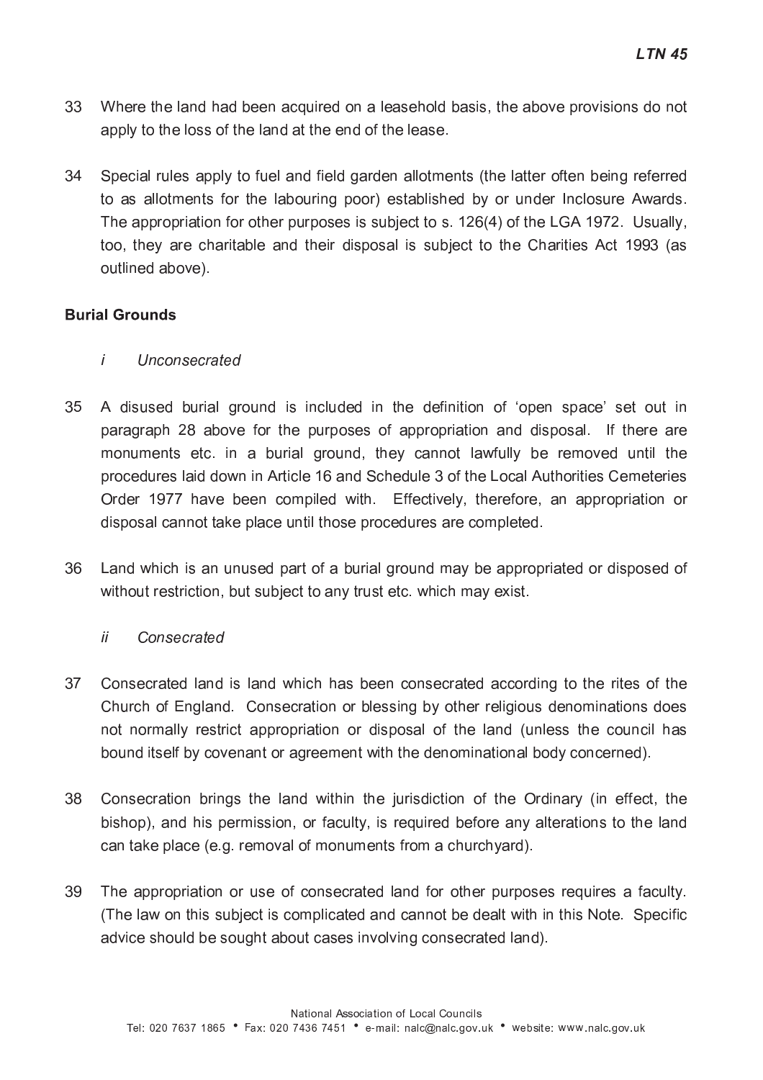- 33 Where the land had been acquired on a leasehold basis, the above provisions do not apply to the loss of the land at the end of the lease.
- Special rules apply to fuel and field garden allotments (the latter often being referred 34 to as allotments for the labouring poor) established by or under Inclosure Awards. The appropriation for other purposes is subject to s. 126(4) of the LGA 1972. Usually, too, they are charitable and their disposal is subject to the Charities Act 1993 (as outlined above).

## **Burial Grounds**

- $\mathbf{i}$ Unconsecrated
- A disused burial ground is included in the definition of 'open space' set out in 35 paragraph 28 above for the purposes of appropriation and disposal. If there are monuments etc. in a burial ground, they cannot lawfully be removed until the procedures laid down in Article 16 and Schedule 3 of the Local Authorities Cemeteries Order 1977 have been compiled with. Effectively, therefore, an appropriation or disposal cannot take place until those procedures are completed.
- Land which is an unused part of a burial ground may be appropriated or disposed of 36 without restriction, but subject to any trust etc. which may exist.
	- $ii$ Consecrated
- 37 Consecrated land is land which has been consecrated according to the rites of the Church of England. Consecration or blessing by other religious denominations does not normally restrict appropriation or disposal of the land (unless the council has bound itself by covenant or agreement with the denominational body concerned).
- 38 Consecration brings the land within the jurisdiction of the Ordinary (in effect, the bishop), and his permission, or faculty, is required before any alterations to the land can take place (e.g. removal of monuments from a churchyard).
- 39 The appropriation or use of consecrated land for other purposes requires a faculty. (The law on this subject is complicated and cannot be dealt with in this Note. Specific advice should be sought about cases involving consecrated land).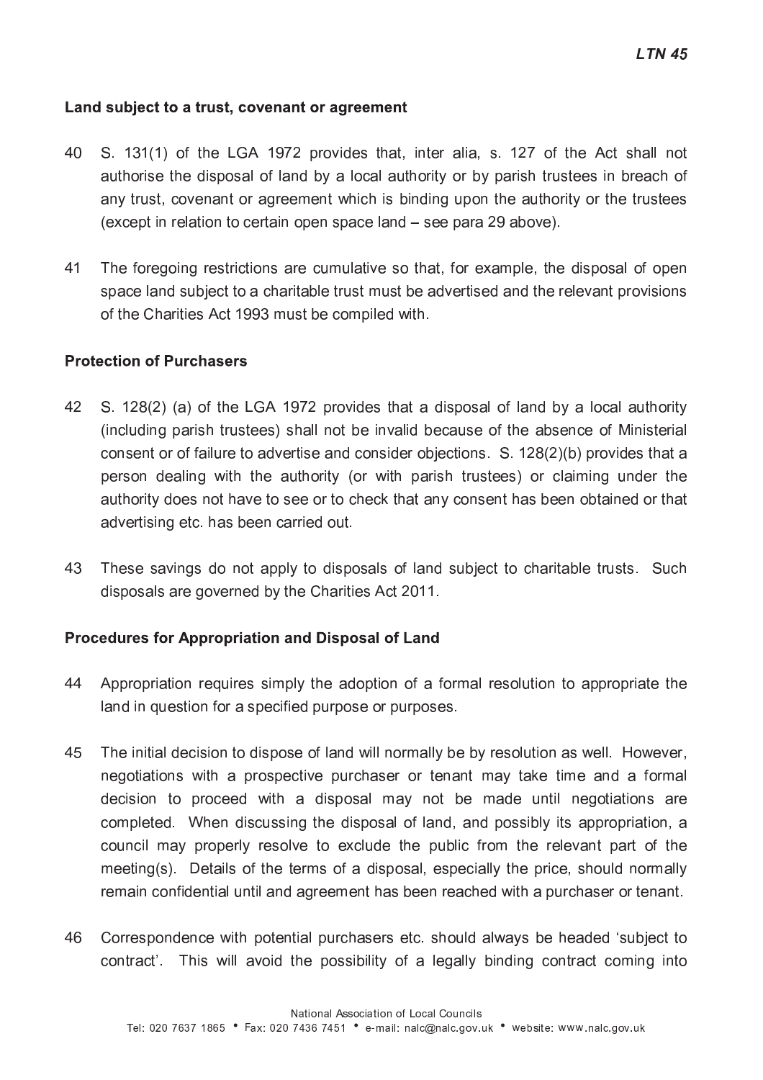### Land subject to a trust, covenant or agreement

- 40 S. 131(1) of the LGA 1972 provides that, inter alia, s. 127 of the Act shall not authorise the disposal of land by a local authority or by parish trustees in breach of any trust, covenant or agreement which is binding upon the authority or the trustees (except in relation to certain open space land – see para 29 above).
- 41 The foregoing restrictions are cumulative so that, for example, the disposal of open space land subject to a charitable trust must be advertised and the relevant provisions of the Charities Act 1993 must be compiled with.

#### **Protection of Purchasers**

- S. 128(2) (a) of the LGA 1972 provides that a disposal of land by a local authority 42 (including parish trustees) shall not be invalid because of the absence of Ministerial consent or of failure to advertise and consider objections. S. 128(2)(b) provides that a person dealing with the authority (or with parish trustees) or claiming under the authority does not have to see or to check that any consent has been obtained or that advertising etc. has been carried out.
- 43 These savings do not apply to disposals of land subject to charitable trusts. Such disposals are governed by the Charities Act 2011.

### Procedures for Appropriation and Disposal of Land

- 44 Appropriation requires simply the adoption of a formal resolution to appropriate the land in question for a specified purpose or purposes.
- 45 The initial decision to dispose of land will normally be by resolution as well. However, negotiations with a prospective purchaser or tenant may take time and a formal decision to proceed with a disposal may not be made until negotiations are completed. When discussing the disposal of land, and possibly its appropriation, a council may properly resolve to exclude the public from the relevant part of the meeting(s). Details of the terms of a disposal, especially the price, should normally remain confidential until and agreement has been reached with a purchaser or tenant.
- 46 Correspondence with potential purchasers etc. should always be headed 'subject to contract'. This will avoid the possibility of a legally binding contract coming into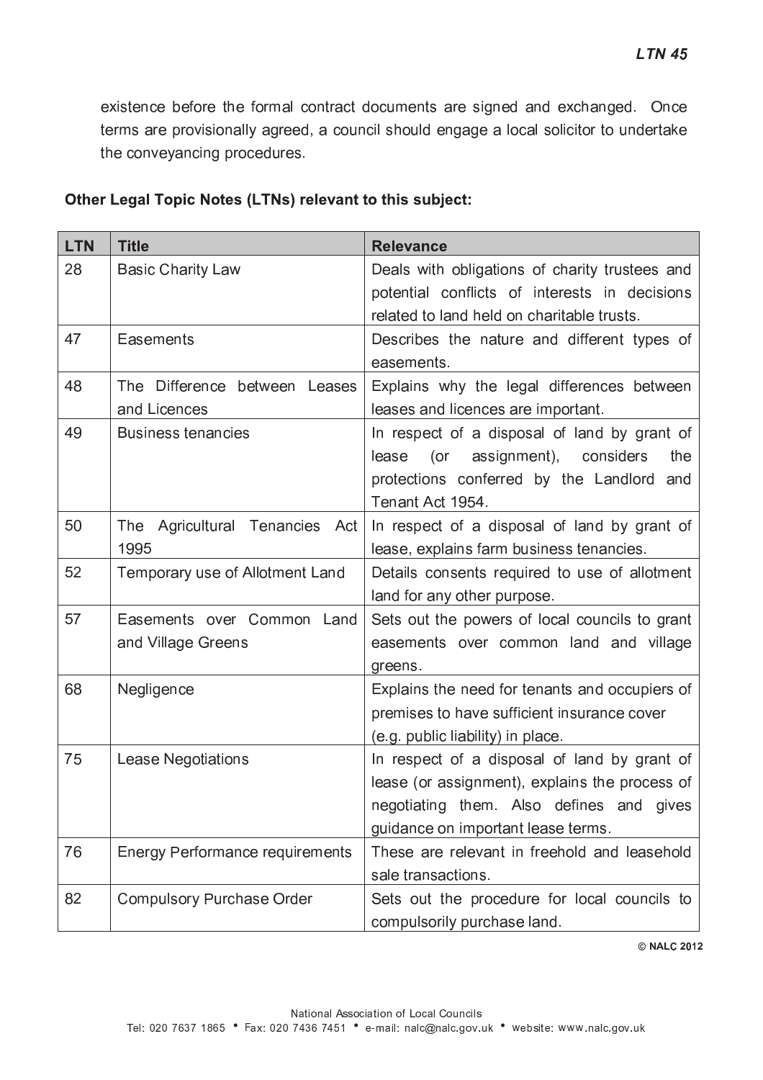existence before the formal contract documents are signed and exchanged. Once terms are provisionally agreed, a council should engage a local solicitor to undertake the convevancing procedures

| <b>LTN</b> | <b>Title</b>                           | <b>Relevance</b>                               |
|------------|----------------------------------------|------------------------------------------------|
| 28         | <b>Basic Charity Law</b>               | Deals with obligations of charity trustees and |
|            |                                        | potential conflicts of interests in decisions  |
|            |                                        | related to land held on charitable trusts.     |
| 47         | Easements                              | Describes the nature and different types of    |
|            |                                        | easements.                                     |
| 48         | The Difference between Leases          | Explains why the legal differences between     |
|            | and Licences                           | leases and licences are important.             |
| 49         | <b>Business tenancies</b>              | In respect of a disposal of land by grant of   |
|            |                                        | assignment), considers<br>(or<br>the<br>lease  |
|            |                                        | protections conferred by the Landlord and      |
|            |                                        | Tenant Act 1954.                               |
| 50         | Agricultural Tenancies Act<br>The      | In respect of a disposal of land by grant of   |
|            | 1995                                   | lease, explains farm business tenancies.       |
| 52         | Temporary use of Allotment Land        | Details consents required to use of allotment  |
|            |                                        | land for any other purpose.                    |
| 57         | Easements over Common Land             | Sets out the powers of local councils to grant |
|            | and Village Greens                     | easements over common land and village         |
|            |                                        | greens.                                        |
| 68         | Negligence                             | Explains the need for tenants and occupiers of |
|            |                                        | premises to have sufficient insurance cover    |
|            |                                        | (e.g. public liability) in place.              |
| 75         | <b>Lease Negotiations</b>              | In respect of a disposal of land by grant of   |
|            |                                        | lease (or assignment), explains the process of |
|            |                                        | negotiating them. Also defines and gives       |
|            |                                        | guidance on important lease terms.             |
| 76         | <b>Energy Performance requirements</b> | These are relevant in freehold and leasehold   |
|            |                                        | sale transactions.                             |

## Other Legal Topic Notes (LTNs) relevant to this subject:

- 1 - 1 - <del>-</del> 1

 $@$  NALC 2012

Sets out the procedure for local councils to

compulsorily purchase land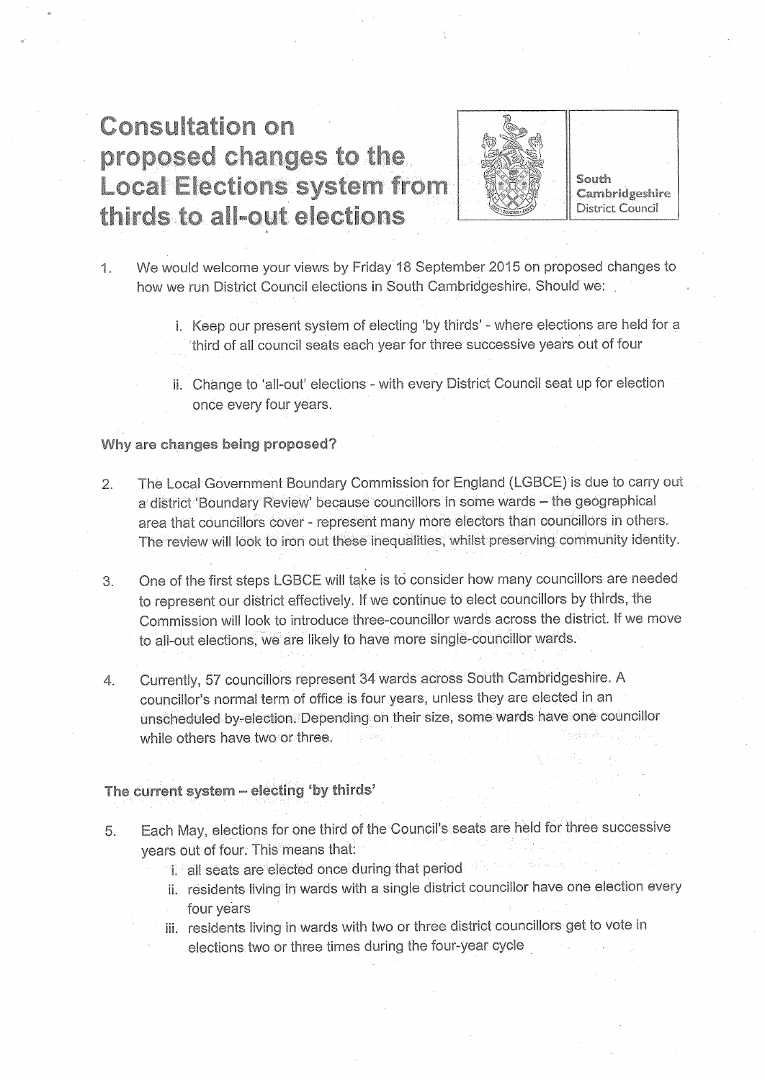## **Consultation on** proposed changes to the **Local Elections system from** thirds to all-out elections



South Cambridgeshire District Council

- We would welcome your views by Friday 18 September 2015 on proposed changes to  $\mathbf{1}$ how we run District Council elections in South Cambridgeshire. Should we:
	- i. Keep our present system of electing 'by thirds' where elections are held for a third of all council seats each year for three successive years out of four
	- ii. Change to 'all-out' elections with every District Council seat up for election once every four years.

#### Why are changes being proposed?

- The Local Government Boundary Commission for England (LGBCE) is due to carry out  $\overline{2}$ . a district 'Boundary Review' because councillors in some wards - the geographical area that councillors cover - represent many more electors than councillors in others. The review will look to iron out these inequalities, whilst preserving community identity.
- One of the first steps LGBCE will take is to consider how many councillors are needed  $3.$ to represent our district effectively. If we continue to elect councillors by thirds, the Commission will look to introduce three-councillor wards across the district. If we move to all-out elections, we are likely to have more single-councillor wards.
- Currently, 57 councillors represent 34 wards across South Cambridgeshire. A  $4.$ councillor's normal term of office is four years, unless they are elected in an unscheduled by-election. Depending on their size, some wards have one councillor while others have two or three.

#### The current system - electing 'by thirds'

- Each May, elections for one third of the Council's seats are held for three successive 5. years out of four. This means that:
	- i. all seats are elected once during that period
	- ii. residents living in wards with a single district councillor have one election every four years
	- iii. residents living in wards with two or three district councillors get to vote in elections two or three times during the four-year cycle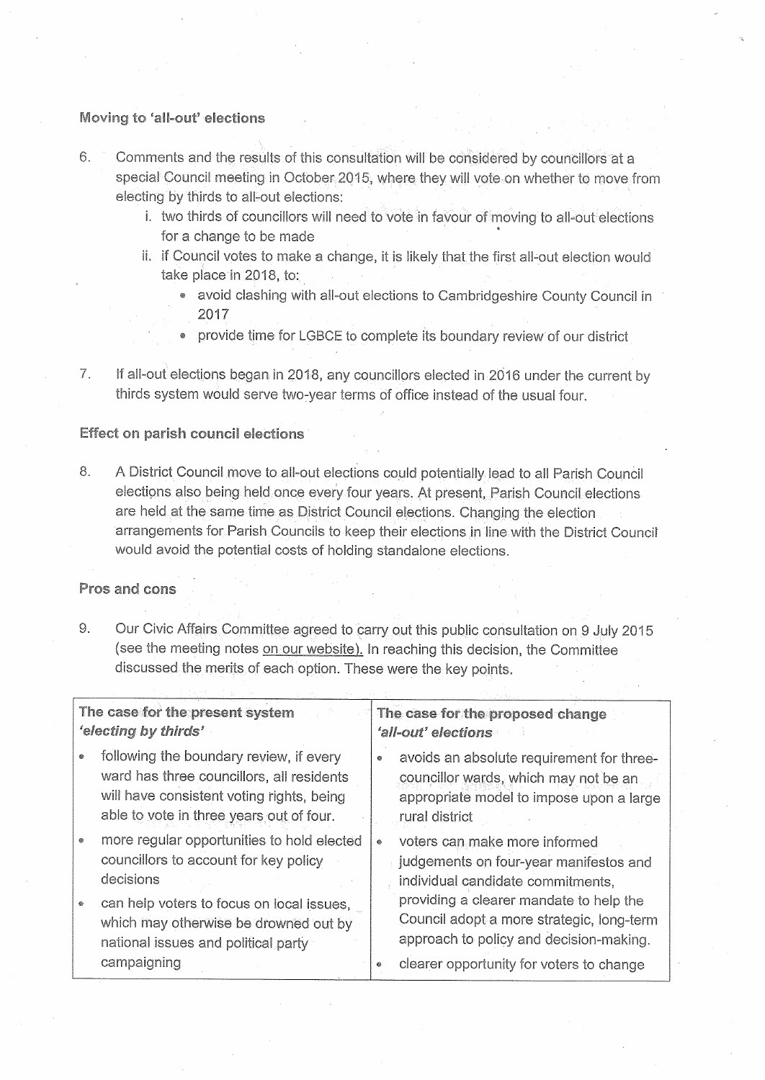#### Moving to 'all-out' elections

- $6<sup>1</sup>$ Comments and the results of this consultation will be considered by councillors at a special Council meeting in October 2015, where they will vote on whether to move from electing by thirds to all-out elections:
	- i. two thirds of councillors will need to vote in favour of moving to all-out elections for a change to be made
	- ii. if Council votes to make a change, it is likely that the first all-out election would take place in 2018, to:
		- avoid clashing with all-out elections to Cambridgeshire County Council in 2017
		- provide time for LGBCE to complete its boundary review of our district
- $7.$ If all-out elections began in 2018, any councillors elected in 2016 under the current by thirds system would serve two-year terms of office instead of the usual four.

#### **Effect on parish council elections**

8. A District Council move to all-out elections could potentially lead to all Parish Council elections also being held once every four years. At present, Parish Council elections are held at the same time as District Council elections. Changing the election arrangements for Parish Councils to keep their elections in line with the District Council would avoid the potential costs of holding standalone elections.

#### Pros and cons

Our Civic Affairs Committee agreed to carry out this public consultation on 9 July 2015  $Q_{\perp}$ (see the meeting notes on our website). In reaching this decision, the Committee discussed the merits of each option. These were the key points.

| The case for the present system<br>'electing by thirds'                                                                                                                            |   | The case for the proposed change<br>'all-out' elections                                                                                          |  |  |
|------------------------------------------------------------------------------------------------------------------------------------------------------------------------------------|---|--------------------------------------------------------------------------------------------------------------------------------------------------|--|--|
| following the boundary review, if every<br>۸<br>ward has three councillors, all residents<br>will have consistent voting rights, being<br>able to vote in three years out of four. | ۰ | avoids an absolute requirement for three-<br>councillor wards, which may not be an<br>appropriate model to impose upon a large<br>rural district |  |  |
| more regular opportunities to hold elected<br>councillors to account for key policy<br>decisions                                                                                   | ۰ | voters can make more informed<br>judgements on four-year manifestos and<br>individual candidate commitments,                                     |  |  |
| can help voters to focus on local issues,<br>which may otherwise be drowned out by<br>national issues and political party                                                          |   | providing a clearer mandate to help the<br>Council adopt a more strategic, long-term<br>approach to policy and decision-making.                  |  |  |
| campaigning                                                                                                                                                                        |   | clearer opportunity for voters to change                                                                                                         |  |  |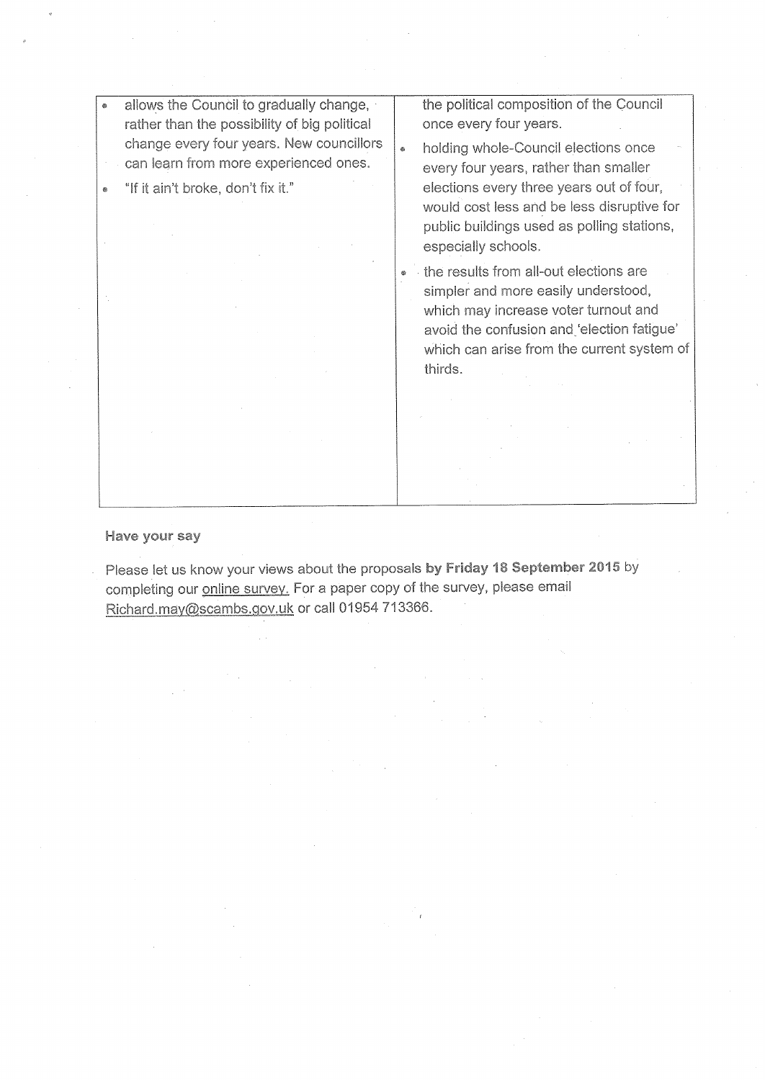| "If it ain't broke, don't fix it." | every four years, rather than smaller<br>elections every three years out of four,<br>would cost less and be less disruptive for                                                                                              |
|------------------------------------|------------------------------------------------------------------------------------------------------------------------------------------------------------------------------------------------------------------------------|
|                                    | public buildings used as polling stations,<br>especially schools.                                                                                                                                                            |
|                                    | the results from all-out elections are<br>simpler and more easily understood,<br>which may increase voter turnout and<br>avoid the confusion and 'election fatigue'<br>which can arise from the current system of<br>thirds. |

#### Have your say

Please let us know your views about the proposals by Friday 18 September 2015 by completing our online survey. For a paper copy of the survey, please email Richard.may@scambs.gov.uk or call 01954 713366.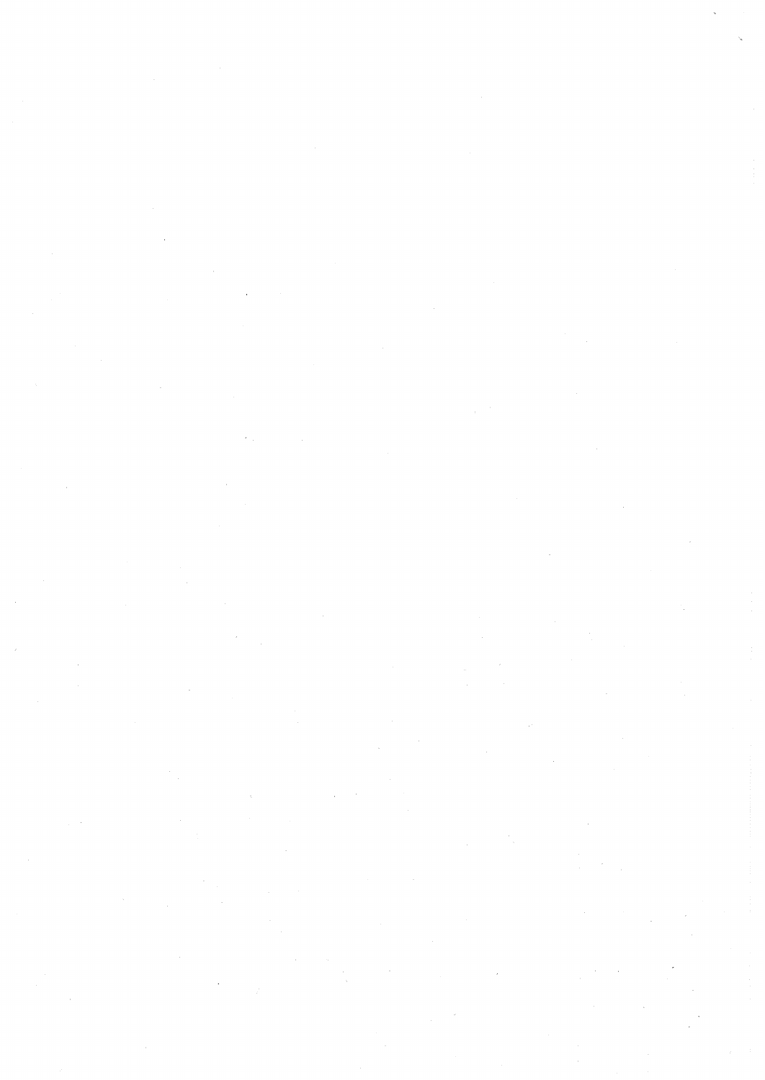$\sim$   $\sim$  $\label{eq:2} \frac{1}{\sqrt{2}}\sum_{i=1}^n\frac{1}{\sqrt{2}}\sum_{j=1}^n\frac{1}{j!}\sum_{j=1}^n\frac{1}{j!}\sum_{j=1}^n\frac{1}{j!}\sum_{j=1}^n\frac{1}{j!}\sum_{j=1}^n\frac{1}{j!}\sum_{j=1}^n\frac{1}{j!}\sum_{j=1}^n\frac{1}{j!}\sum_{j=1}^n\frac{1}{j!}\sum_{j=1}^n\frac{1}{j!}\sum_{j=1}^n\frac{1}{j!}\sum_{j=1}^n\frac{1}{j!}\sum_{j=1}^$  $\label{eq:2.1} \frac{1}{2}\sum_{i=1}^n\frac{1}{2}\sum_{j=1}^n\frac{1}{2}\sum_{j=1}^n\frac{1}{2}\sum_{j=1}^n\frac{1}{2}\sum_{j=1}^n\frac{1}{2}\sum_{j=1}^n\frac{1}{2}\sum_{j=1}^n\frac{1}{2}\sum_{j=1}^n\frac{1}{2}\sum_{j=1}^n\frac{1}{2}\sum_{j=1}^n\frac{1}{2}\sum_{j=1}^n\frac{1}{2}\sum_{j=1}^n\frac{1}{2}\sum_{j=1}^n\frac{1}{2}\sum_{j=1}^n\$